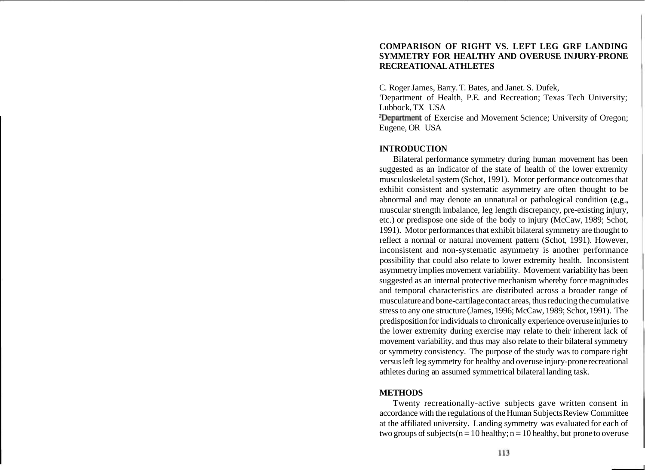### **COMPARISON OF RIGHT VS. LEFT LEG GRF LANDING SYMMETRY FOR HEALTHY AND OVERUSE INJURY-PRONE RECREATIONAL ATHLETES**

C. Roger James, Barry. T. Bates, and Janet. S. Dufek, 'Department of Health, P.E. and Recreation; Texas Tech University; Lubbock, TX USA 2Department of Exercise and Movement Science; University of Oregon; Eugene, OR USA

# **INTRODUCTION**

Bilateral performance symmetry during human movement has been suggested as an indicator of the state of health of the lower extremity musculoskeletal system (Schot, 1991). Motor performance outcomes that exhibit consistent and systematic asymmetry are often thought to be abnormal and may denote an unnatural or pathological condition (e.g., muscular strength imbalance, leg length discrepancy, pre-existing injury, etc.) or predispose one side of the body to injury (McCaw, 1989; Schot, 1991). Motor performances that exhibit bilateral symmetry are thought to reflect a normal or natural movement pattern (Schot, 1991). However, inconsistent and non-systematic asymmetry is another performance possibility that could also relate to lower extremity health. Inconsistent asymmetry implies movement variability. Movement variability has been suggested as an internal protective mechanism whereby force magnitudes and temporal characteristics are distributed across a broader range of musculature and bone-cartilage contact areas, thus reducing the cumulative stress to any one structure (James, 1996; McCaw, 1989; Schot, 1991). The predisposition for individuals to chronically experience overuse injuries to the lower extremity during exercise may relate to their inherent lack of movement variability, and thus may also relate to their bilateral symmetry or symmetry consistency. The purpose of the study was to compare right versus left leg symmetry for healthy and overuse injury-prone recreational athletes during an assumed symmetrical bilateral landing task.

### **METHODS**

Twenty recreationally-active subjects gave written consent in accordance with the regulations of the Human Subjects Review Committee at the affiliated university. Landing symmetry was evaluated for each of two groups of subjects ( $n = 10$  healthy;  $n = 10$  healthy, but prone to overuse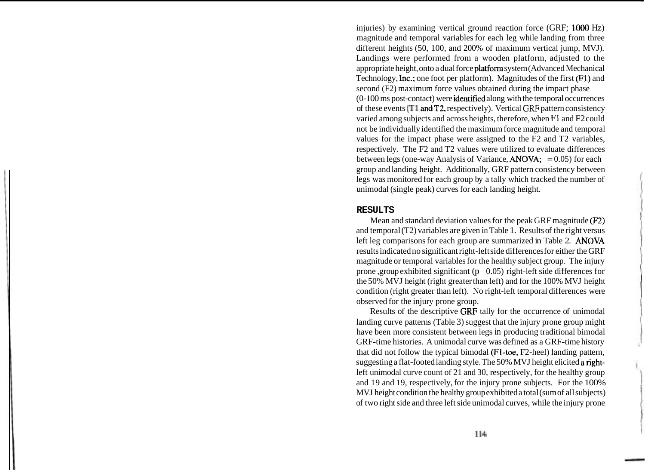injuries) by examining vertical ground reaction force (GRF; 1000 Hz) magnitude and temporal variables for each leg while landing from three different heights (50, 100, and 200% of maximum vertical jump, MVJ). Landings were performed from a wooden platform, adjusted to the appropriate height, onto a dual force platform system (Advanced Mechanical Technology, Inc.; one foot per platform). Magnitudes of the first (Fl) and second (F2) maximum force values obtained during the impact phase (0- 100 ms post-contact) were identified along with the temporal occurrences of these events (TI andT2, respectively). Vertical GRF pattern consistency varied among subjects and across heights, therefore, when F1 and F2 could not be individually identified the maximum force magnitude and temporal values for the impact phase were assigned to the F2 and T2 variables, respectively. The F2 and T2 values were utilized to evaluate differences between legs (one-way Analysis of Variance,  $ANOVA$ ; = 0.05) for each group and landing height. Additionally, GRF pattern consistency between legs was monitored for each group by a tally which tracked the number of unimodal (single peak) curves for each landing height.

#### **RESULTS**

Mean and standard deviation values for the peak GRF magnitude (F2) and temporal (T2) variables are given in Table 1. Results of the right versus left leg comparisons for each group are summarized in Table 2. ANOVA results indicated no significant right-left side differences for either the GRF magnitude or temporal variables for the healthy subject group. The injury prone ,group exhibited significant ( $p \quad 0.05$ ) right-left side differences for the 50% MVJ height (right greater than left) and for the 100% MVJ height condition (right greater than left). No right-left temporal differences were observed for the injury prone group.

Results of the descriptive GRF tally for the occurrence of unimodal landing curve patterns (Table 3) suggest that the injury prone group might have been more consistent between legs in producing traditional bimodal GRF-time histories. A unimodal curve was defined as a GRF-time history that did not follow the typical bimodal (Fl-toe, F2-heel) landing pattern, suggesting a flat-footed landing style. The 50% MVJ height elicited a rightleft unimodal curve count of 21 and 30, respectively, for the healthy group and 19 and 19, respectively, for the injury prone subjects. For the 100% MVJ height condition the healthy group exhibited a total (sum of all subjects) of two right side and three left side unimodal curves, while the injury prone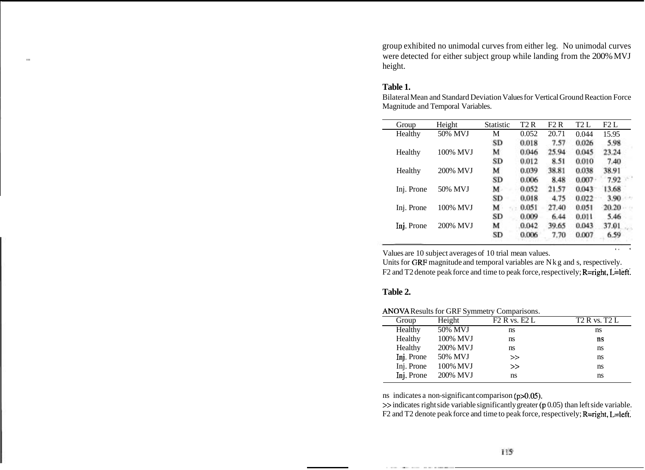group exhibited no unimodal curves from either leg. No unimodal curves were detected for either subject group while landing from the 200% MVJ height.

### **Table 1.**

| Group      | Height   | <b>Statistic</b> | T2R   | F2R   | T2L   | F2L   |  |
|------------|----------|------------------|-------|-------|-------|-------|--|
| Healthy    | 50% MVJ  | М                | 0.052 | 20.71 | 0.044 | 15.95 |  |
|            |          | SD               | 0.018 | 7.57  | 0.026 | 5.98  |  |
| Healthy    | 100% MVJ | м                | 0.046 | 25.94 | 0.045 | 23.24 |  |
|            |          | SD               | 0.012 | 8.51  | 0.010 | 7.40  |  |
| Healthy    | 200% MVJ | м                | 0.039 | 38.81 | 0.038 | 38.91 |  |
|            |          | SD               | 0.006 | 8.48  | 0.007 | 7.92  |  |
| Inj. Prone | 50% MVJ  | M                | 0.052 | 21.57 | 0.043 | 13.68 |  |
|            |          | SD               | 0.018 | 4.75  | 0.022 | 3.90  |  |
| Inj. Prone | 100% MVJ | м                | 0.051 | 27.40 | 0.051 | 20.20 |  |
|            |          | SD               | 0.009 | 6.44  | 0.011 | 5.46  |  |
| Inj. Prone | 200% MVJ | м                | 0.042 | 39.65 | 0.043 | 37.01 |  |
|            |          | <b>SD</b>        | 0.006 | 7.70  | 0.007 | 6.59  |  |

Bilateral Mean and Standard Deviation Values for Vertical Ground Reaction Force Magnitude and Temporal Variables.

Values are 10 subject averages of 10 trial mean values.

Units for GRF magnitude and temporal variables are Nkg and s, respectively. F2 and T2 denote peak force and time to peak force, respectively;  $R = right$ ,  $L = left$ .

 $\ddot{\phantom{a}}$ 

# **Table 2.**

ANOVA Results for GRF Symmetry Comparisons.

| Group      | Height   | F2 R vs. E2 L | T <sub>2</sub> R vs. T <sub>2</sub> L |  |  |  |
|------------|----------|---------------|---------------------------------------|--|--|--|
| Healthy    | 50% MVJ  | ns            | ns                                    |  |  |  |
| Healthy    | 100% MVJ | ns            | ns                                    |  |  |  |
| Healthy    | 200% MVJ | ns            | ns                                    |  |  |  |
| Inj. Prone | 50% MVJ  | >             | ns                                    |  |  |  |
| Inj. Prone | 100% MVJ | >             | ns                                    |  |  |  |
| Inj. Prone | 200% MVJ | ns            | ns                                    |  |  |  |
|            |          |               |                                       |  |  |  |

ns indicates a non-significant comparison (p>0.05).

 $\gg$  indicates right side variable significantly greater (p 0.05) than left side variable. F2 and T2 denote peak force and time to peak force, respectively; R=right, L=left.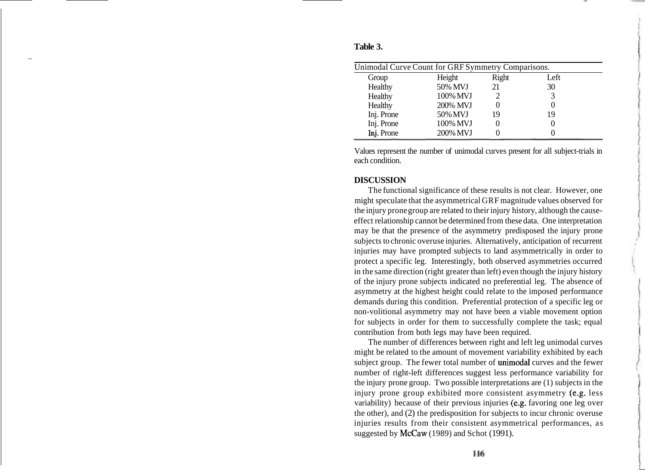| Unimodal Curve Count for GRF Symmetry Comparisons. |          |       |      |  |  |  |  |
|----------------------------------------------------|----------|-------|------|--|--|--|--|
| Group                                              | Height   | Right | Left |  |  |  |  |
| Healthy                                            | 50% MVJ  | 21    | 30   |  |  |  |  |
| Healthy                                            | 100% MVJ |       | 3    |  |  |  |  |
| Healthy                                            | 200% MVJ |       |      |  |  |  |  |
| Inj. Prone                                         | 50% MVJ  | 19    | 19   |  |  |  |  |
| Inj. Prone                                         | 100% MVJ |       |      |  |  |  |  |
| Inj. Prone                                         | 200% MVJ |       |      |  |  |  |  |

### **Table 3.**

Values represent the number of unimodal curves present for all subject-trials in each condition.

### **DISCUSSION**

The functional significance of these results is not clear. However, one might speculate that the asymmetrical GRF magnitude values observed for the injury prone group are related to their injury history, although the causeeffect relationship cannot be determined from these data. One interpretation may be that the presence of the asymmetry predisposed the injury prone subjects to chronic overuse injuries. Alternatively, anticipation of recurrent injuries may have prompted subjects to land asymmetrically in order to protect a specific leg. Interestingly, both observed asymmetries occurred in the same direction (right greater than left) even though the injury history of the injury prone subjects indicated no preferential leg. The absence of asymmetry at the highest height could relate to the imposed performance demands during this condition. Preferential protection of a specific leg or non-volitional asymmetry may not have been a viable movement option for subjects in order for them to successfully complete the task; equal contribution from both legs may have been required.

The number of differences between right and left leg unimodal curves might be related to the amount of movement variability exhibited by each subject group. The fewer total number of unimodal curves and the fewer number of right-left differences suggest less performance variability for the injury prone group. Two possible interpretations are (1) subjects in the injury prone group exhibited more consistent asymmetry (e.g. less variability) because of their previous injuries (e.g. favoring one leg over the other), and (2) the predisposition for subjects to incur chronic overuse injuries results from their consistent asymmetrical performances, as suggested by McCaw (1989) and Schot (1991).